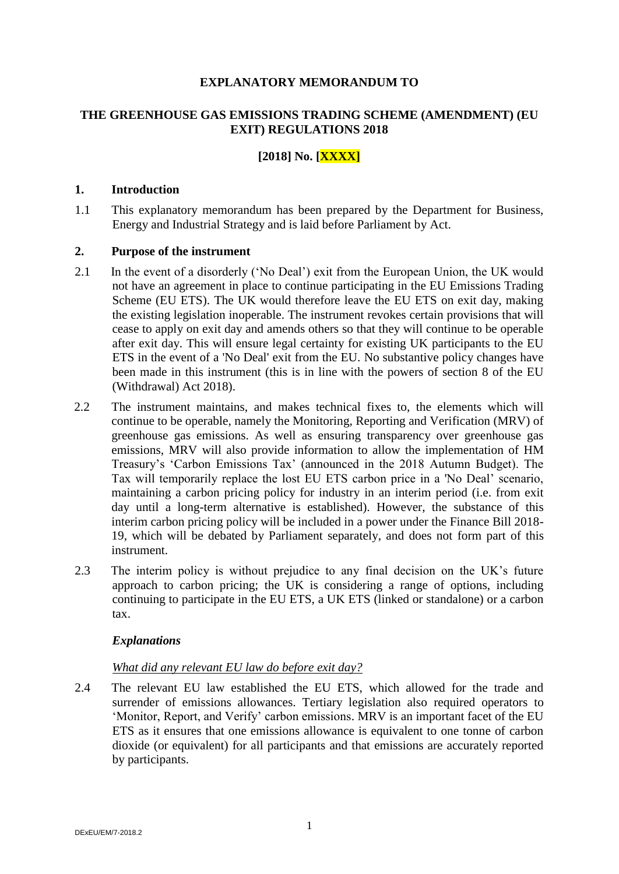#### **EXPLANATORY MEMORANDUM TO**

# **THE GREENHOUSE GAS EMISSIONS TRADING SCHEME (AMENDMENT) (EU EXIT) REGULATIONS 2018**

# **[2018] No. [XXXX]**

#### **1. Introduction**

1.1 This explanatory memorandum has been prepared by the Department for Business, Energy and Industrial Strategy and is laid before Parliament by Act.

#### **2. Purpose of the instrument**

- 2.1 In the event of a disorderly ('No Deal') exit from the European Union, the UK would not have an agreement in place to continue participating in the EU Emissions Trading Scheme (EU ETS). The UK would therefore leave the EU ETS on exit day, making the existing legislation inoperable. The instrument revokes certain provisions that will cease to apply on exit day and amends others so that they will continue to be operable after exit day. This will ensure legal certainty for existing UK participants to the EU ETS in the event of a 'No Deal' exit from the EU. No substantive policy changes have been made in this instrument (this is in line with the powers of section 8 of the EU (Withdrawal) Act 2018).
- 2.2 The instrument maintains, and makes technical fixes to, the elements which will continue to be operable, namely the Monitoring, Reporting and Verification (MRV) of greenhouse gas emissions. As well as ensuring transparency over greenhouse gas emissions, MRV will also provide information to allow the implementation of HM Treasury's 'Carbon Emissions Tax' (announced in the 2018 Autumn Budget). The Tax will temporarily replace the lost EU ETS carbon price in a 'No Deal' scenario, maintaining a carbon pricing policy for industry in an interim period (i.e. from exit day until a long-term alternative is established). However, the substance of this interim carbon pricing policy will be included in a power under the Finance Bill 2018- 19, which will be debated by Parliament separately, and does not form part of this instrument.
- 2.3 The interim policy is without prejudice to any final decision on the UK's future approach to carbon pricing; the UK is considering a range of options, including continuing to participate in the EU ETS, a UK ETS (linked or standalone) or a carbon tax.

#### *Explanations*

#### *What did any relevant EU law do before exit day?*

2.4 The relevant EU law established the EU ETS, which allowed for the trade and surrender of emissions allowances. Tertiary legislation also required operators to 'Monitor, Report, and Verify' carbon emissions. MRV is an important facet of the EU ETS as it ensures that one emissions allowance is equivalent to one tonne of carbon dioxide (or equivalent) for all participants and that emissions are accurately reported by participants.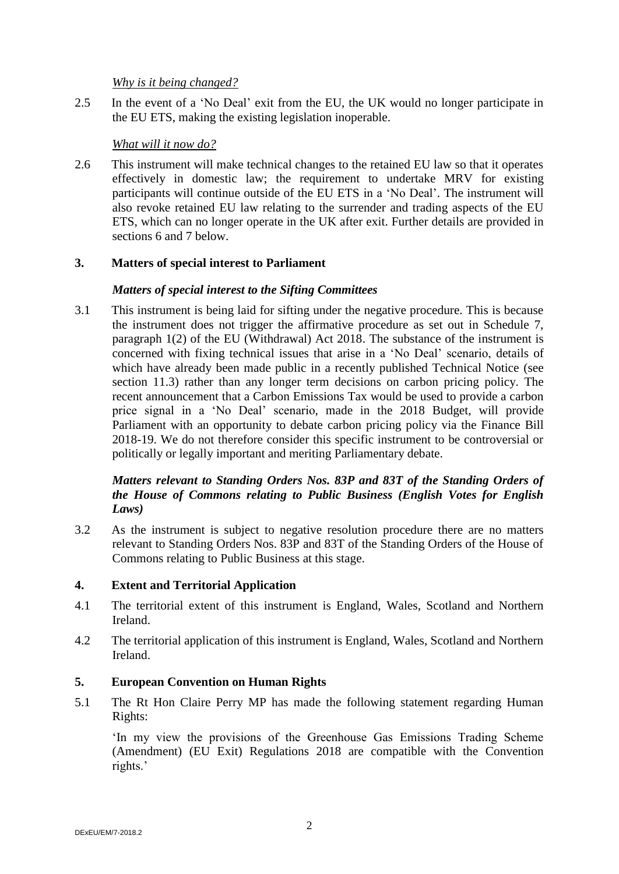*Why is it being changed?*

2.5 In the event of a 'No Deal' exit from the EU, the UK would no longer participate in the EU ETS, making the existing legislation inoperable.

# *What will it now do?*

2.6 This instrument will make technical changes to the retained EU law so that it operates effectively in domestic law; the requirement to undertake MRV for existing participants will continue outside of the EU ETS in a 'No Deal'. The instrument will also revoke retained EU law relating to the surrender and trading aspects of the EU ETS, which can no longer operate in the UK after exit. Further details are provided in sections 6 and 7 below.

# **3. Matters of special interest to Parliament**

# *Matters of special interest to the Sifting Committees*

3.1 This instrument is being laid for sifting under the negative procedure. This is because the instrument does not trigger the affirmative procedure as set out in Schedule 7, paragraph 1(2) of the EU (Withdrawal) Act 2018. The substance of the instrument is concerned with fixing technical issues that arise in a 'No Deal' scenario, details of which have already been made public in a recently published Technical Notice (see section 11.3) rather than any longer term decisions on carbon pricing policy. The recent announcement that a Carbon Emissions Tax would be used to provide a carbon price signal in a 'No Deal' scenario, made in the 2018 Budget, will provide Parliament with an opportunity to debate carbon pricing policy via the Finance Bill 2018-19. We do not therefore consider this specific instrument to be controversial or politically or legally important and meriting Parliamentary debate.

### *Matters relevant to Standing Orders Nos. 83P and 83T of the Standing Orders of the House of Commons relating to Public Business (English Votes for English Laws)*

3.2 As the instrument is subject to negative resolution procedure there are no matters relevant to Standing Orders Nos. 83P and 83T of the Standing Orders of the House of Commons relating to Public Business at this stage.

# **4. Extent and Territorial Application**

- 4.1 The territorial extent of this instrument is England, Wales, Scotland and Northern Ireland.
- 4.2 The territorial application of this instrument is England, Wales, Scotland and Northern Ireland.

# **5. European Convention on Human Rights**

5.1 The Rt Hon Claire Perry MP has made the following statement regarding Human Rights:

'In my view the provisions of the Greenhouse Gas Emissions Trading Scheme (Amendment) (EU Exit) Regulations 2018 are compatible with the Convention rights.'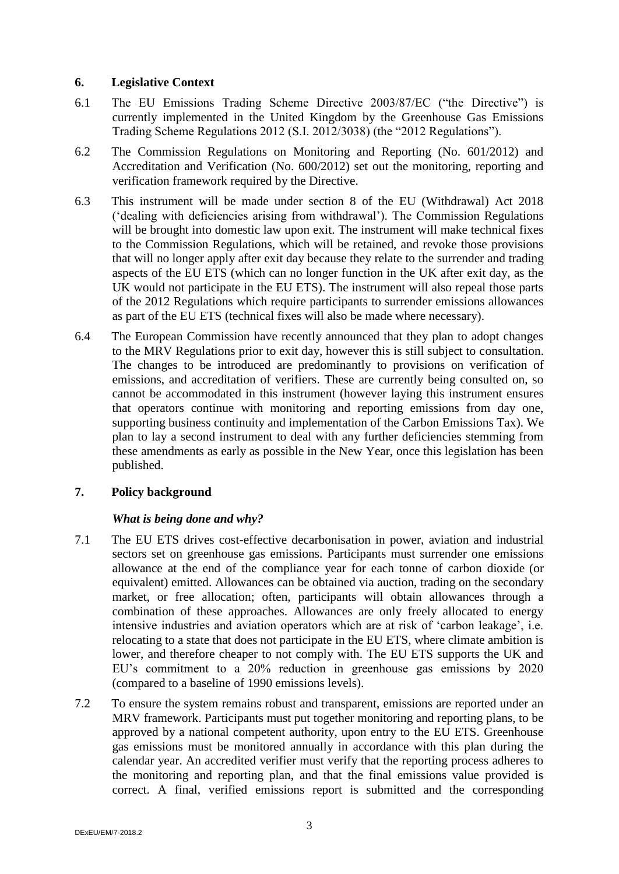#### **6. Legislative Context**

- 6.1 The EU Emissions Trading Scheme Directive 2003/87/EC ("the Directive") is currently implemented in the United Kingdom by the Greenhouse Gas Emissions Trading Scheme Regulations 2012 (S.I. 2012/3038) (the "2012 Regulations").
- 6.2 The Commission Regulations on Monitoring and Reporting (No. 601/2012) and Accreditation and Verification (No. 600/2012) set out the monitoring, reporting and verification framework required by the Directive.
- 6.3 This instrument will be made under section 8 of the EU (Withdrawal) Act 2018 ('dealing with deficiencies arising from withdrawal'). The Commission Regulations will be brought into domestic law upon exit. The instrument will make technical fixes to the Commission Regulations, which will be retained, and revoke those provisions that will no longer apply after exit day because they relate to the surrender and trading aspects of the EU ETS (which can no longer function in the UK after exit day, as the UK would not participate in the EU ETS). The instrument will also repeal those parts of the 2012 Regulations which require participants to surrender emissions allowances as part of the EU ETS (technical fixes will also be made where necessary).
- 6.4 The European Commission have recently announced that they plan to adopt changes to the MRV Regulations prior to exit day, however this is still subject to consultation. The changes to be introduced are predominantly to provisions on verification of emissions, and accreditation of verifiers. These are currently being consulted on, so cannot be accommodated in this instrument (however laying this instrument ensures that operators continue with monitoring and reporting emissions from day one, supporting business continuity and implementation of the Carbon Emissions Tax). We plan to lay a second instrument to deal with any further deficiencies stemming from these amendments as early as possible in the New Year, once this legislation has been published.

#### **7. Policy background**

# *What is being done and why?*

- 7.1 The EU ETS drives cost-effective decarbonisation in power, aviation and industrial sectors set on greenhouse gas emissions. Participants must surrender one emissions allowance at the end of the compliance year for each tonne of carbon dioxide (or equivalent) emitted. Allowances can be obtained via auction, trading on the secondary market, or free allocation; often, participants will obtain allowances through a combination of these approaches. Allowances are only freely allocated to energy intensive industries and aviation operators which are at risk of 'carbon leakage', i.e. relocating to a state that does not participate in the EU ETS, where climate ambition is lower, and therefore cheaper to not comply with. The EU ETS supports the UK and EU's commitment to a 20% reduction in greenhouse gas emissions by 2020 (compared to a baseline of 1990 emissions levels).
- 7.2 To ensure the system remains robust and transparent, emissions are reported under an MRV framework. Participants must put together monitoring and reporting plans, to be approved by a national competent authority, upon entry to the EU ETS. Greenhouse gas emissions must be monitored annually in accordance with this plan during the calendar year. An accredited verifier must verify that the reporting process adheres to the monitoring and reporting plan, and that the final emissions value provided is correct. A final, verified emissions report is submitted and the corresponding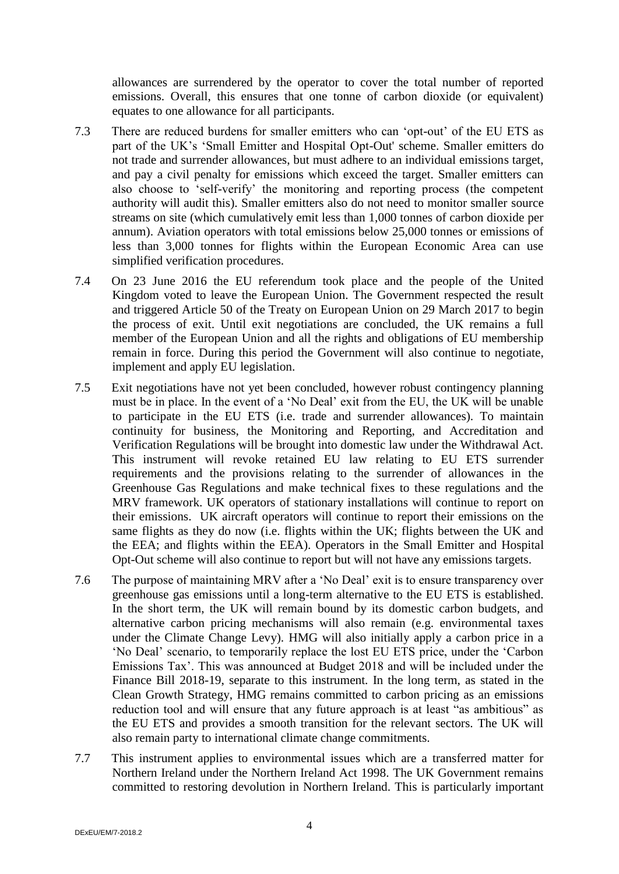allowances are surrendered by the operator to cover the total number of reported emissions. Overall, this ensures that one tonne of carbon dioxide (or equivalent) equates to one allowance for all participants.

- 7.3 There are reduced burdens for smaller emitters who can 'opt-out' of the EU ETS as part of the UK's 'Small Emitter and Hospital Opt-Out' scheme. Smaller emitters do not trade and surrender allowances, but must adhere to an individual emissions target, and pay a civil penalty for emissions which exceed the target. Smaller emitters can also choose to 'self-verify' the monitoring and reporting process (the competent authority will audit this). Smaller emitters also do not need to monitor smaller source streams on site (which cumulatively emit less than 1,000 tonnes of carbon dioxide per annum). Aviation operators with total emissions below 25,000 tonnes or emissions of less than 3,000 tonnes for flights within the European Economic Area can use simplified verification procedures.
- 7.4 On 23 June 2016 the EU referendum took place and the people of the United Kingdom voted to leave the European Union. The Government respected the result and triggered Article 50 of the Treaty on European Union on 29 March 2017 to begin the process of exit. Until exit negotiations are concluded, the UK remains a full member of the European Union and all the rights and obligations of EU membership remain in force. During this period the Government will also continue to negotiate, implement and apply EU legislation.
- 7.5 Exit negotiations have not yet been concluded, however robust contingency planning must be in place. In the event of a 'No Deal' exit from the EU, the UK will be unable to participate in the EU ETS (i.e. trade and surrender allowances). To maintain continuity for business, the Monitoring and Reporting, and Accreditation and Verification Regulations will be brought into domestic law under the Withdrawal Act. This instrument will revoke retained EU law relating to EU ETS surrender requirements and the provisions relating to the surrender of allowances in the Greenhouse Gas Regulations and make technical fixes to these regulations and the MRV framework. UK operators of stationary installations will continue to report on their emissions. UK aircraft operators will continue to report their emissions on the same flights as they do now (i.e. flights within the UK; flights between the UK and the EEA; and flights within the EEA). Operators in the Small Emitter and Hospital Opt-Out scheme will also continue to report but will not have any emissions targets.
- 7.6 The purpose of maintaining MRV after a 'No Deal' exit is to ensure transparency over greenhouse gas emissions until a long-term alternative to the EU ETS is established. In the short term, the UK will remain bound by its domestic carbon budgets, and alternative carbon pricing mechanisms will also remain (e.g. environmental taxes under the Climate Change Levy). HMG will also initially apply a carbon price in a 'No Deal' scenario, to temporarily replace the lost EU ETS price, under the 'Carbon Emissions Tax'. This was announced at Budget 2018 and will be included under the Finance Bill 2018-19, separate to this instrument. In the long term, as stated in the Clean Growth Strategy, HMG remains committed to carbon pricing as an emissions reduction tool and will ensure that any future approach is at least "as ambitious" as the EU ETS and provides a smooth transition for the relevant sectors. The UK will also remain party to international climate change commitments.
- 7.7 This instrument applies to environmental issues which are a transferred matter for Northern Ireland under the Northern Ireland Act 1998. The UK Government remains committed to restoring devolution in Northern Ireland. This is particularly important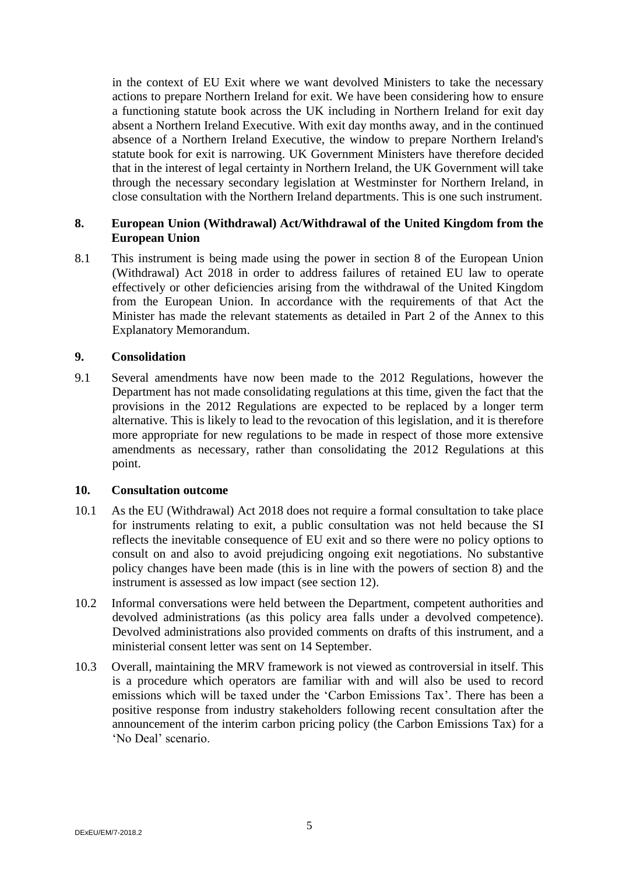in the context of EU Exit where we want devolved Ministers to take the necessary actions to prepare Northern Ireland for exit. We have been considering how to ensure a functioning statute book across the UK including in Northern Ireland for exit day absent a Northern Ireland Executive. With exit day months away, and in the continued absence of a Northern Ireland Executive, the window to prepare Northern Ireland's statute book for exit is narrowing. UK Government Ministers have therefore decided that in the interest of legal certainty in Northern Ireland, the UK Government will take through the necessary secondary legislation at Westminster for Northern Ireland, in close consultation with the Northern Ireland departments. This is one such instrument.

### **8. European Union (Withdrawal) Act/Withdrawal of the United Kingdom from the European Union**

8.1 This instrument is being made using the power in section 8 of the European Union (Withdrawal) Act 2018 in order to address failures of retained EU law to operate effectively or other deficiencies arising from the withdrawal of the United Kingdom from the European Union. In accordance with the requirements of that Act the Minister has made the relevant statements as detailed in Part 2 of the Annex to this Explanatory Memorandum.

#### **9. Consolidation**

9.1 Several amendments have now been made to the 2012 Regulations, however the Department has not made consolidating regulations at this time, given the fact that the provisions in the 2012 Regulations are expected to be replaced by a longer term alternative. This is likely to lead to the revocation of this legislation, and it is therefore more appropriate for new regulations to be made in respect of those more extensive amendments as necessary, rather than consolidating the 2012 Regulations at this point.

#### **10. Consultation outcome**

- 10.1 As the EU (Withdrawal) Act 2018 does not require a formal consultation to take place for instruments relating to exit, a public consultation was not held because the SI reflects the inevitable consequence of EU exit and so there were no policy options to consult on and also to avoid prejudicing ongoing exit negotiations. No substantive policy changes have been made (this is in line with the powers of section 8) and the instrument is assessed as low impact (see section 12).
- 10.2 Informal conversations were held between the Department, competent authorities and devolved administrations (as this policy area falls under a devolved competence). Devolved administrations also provided comments on drafts of this instrument, and a ministerial consent letter was sent on 14 September.
- 10.3 Overall, maintaining the MRV framework is not viewed as controversial in itself. This is a procedure which operators are familiar with and will also be used to record emissions which will be taxed under the 'Carbon Emissions Tax'. There has been a positive response from industry stakeholders following recent consultation after the announcement of the interim carbon pricing policy (the Carbon Emissions Tax) for a 'No Deal' scenario.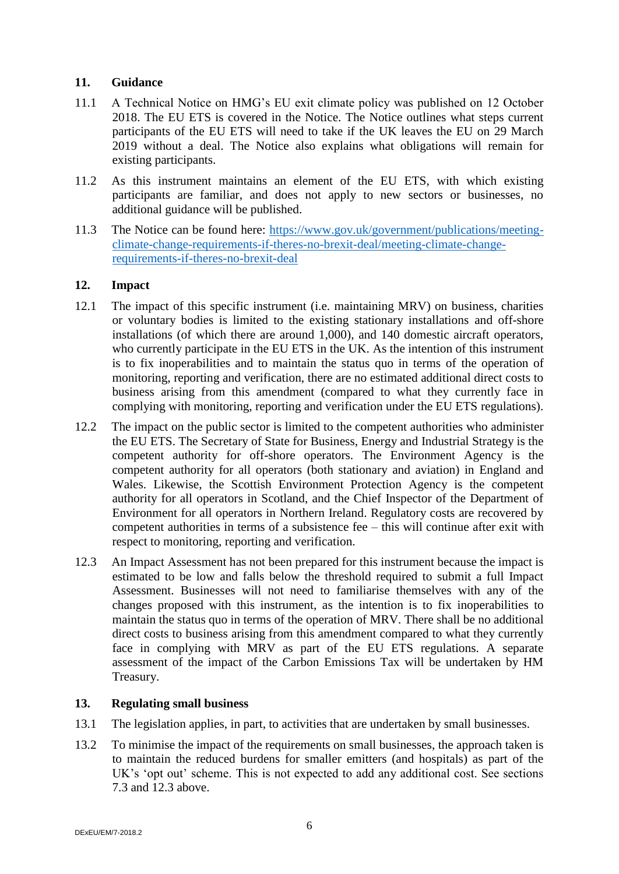#### **11. Guidance**

- 11.1 A Technical Notice on HMG's EU exit climate policy was published on 12 October 2018. The EU ETS is covered in the Notice. The Notice outlines what steps current participants of the EU ETS will need to take if the UK leaves the EU on 29 March 2019 without a deal. The Notice also explains what obligations will remain for existing participants.
- 11.2 As this instrument maintains an element of the EU ETS, with which existing participants are familiar, and does not apply to new sectors or businesses, no additional guidance will be published.
- 11.3 The Notice can be found here: [https://www.gov.uk/government/publications/meeting](https://www.gov.uk/government/publications/meeting-climate-change-requirements-if-theres-no-brexit-deal/meeting-climate-change-requirements-if-theres-no-brexit-deal)[climate-change-requirements-if-theres-no-brexit-deal/meeting-climate-change](https://www.gov.uk/government/publications/meeting-climate-change-requirements-if-theres-no-brexit-deal/meeting-climate-change-requirements-if-theres-no-brexit-deal)[requirements-if-theres-no-brexit-deal](https://www.gov.uk/government/publications/meeting-climate-change-requirements-if-theres-no-brexit-deal/meeting-climate-change-requirements-if-theres-no-brexit-deal)

### **12. Impact**

- 12.1 The impact of this specific instrument (i.e. maintaining MRV) on business, charities or voluntary bodies is limited to the existing stationary installations and off-shore installations (of which there are around 1,000), and 140 domestic aircraft operators, who currently participate in the EU ETS in the UK. As the intention of this instrument is to fix inoperabilities and to maintain the status quo in terms of the operation of monitoring, reporting and verification, there are no estimated additional direct costs to business arising from this amendment (compared to what they currently face in complying with monitoring, reporting and verification under the EU ETS regulations).
- 12.2 The impact on the public sector is limited to the competent authorities who administer the EU ETS. The Secretary of State for Business, Energy and Industrial Strategy is the competent authority for off-shore operators. The Environment Agency is the competent authority for all operators (both stationary and aviation) in England and Wales. Likewise, the Scottish Environment Protection Agency is the competent authority for all operators in Scotland, and the Chief Inspector of the Department of Environment for all operators in Northern Ireland. Regulatory costs are recovered by competent authorities in terms of a subsistence fee – this will continue after exit with respect to monitoring, reporting and verification.
- 12.3 An Impact Assessment has not been prepared for this instrument because the impact is estimated to be low and falls below the threshold required to submit a full Impact Assessment. Businesses will not need to familiarise themselves with any of the changes proposed with this instrument, as the intention is to fix inoperabilities to maintain the status quo in terms of the operation of MRV. There shall be no additional direct costs to business arising from this amendment compared to what they currently face in complying with MRV as part of the EU ETS regulations. A separate assessment of the impact of the Carbon Emissions Tax will be undertaken by HM Treasury.

# **13. Regulating small business**

- 13.1 The legislation applies, in part, to activities that are undertaken by small businesses.
- 13.2 To minimise the impact of the requirements on small businesses, the approach taken is to maintain the reduced burdens for smaller emitters (and hospitals) as part of the UK's 'opt out' scheme. This is not expected to add any additional cost. See sections 7.3 and 12.3 above.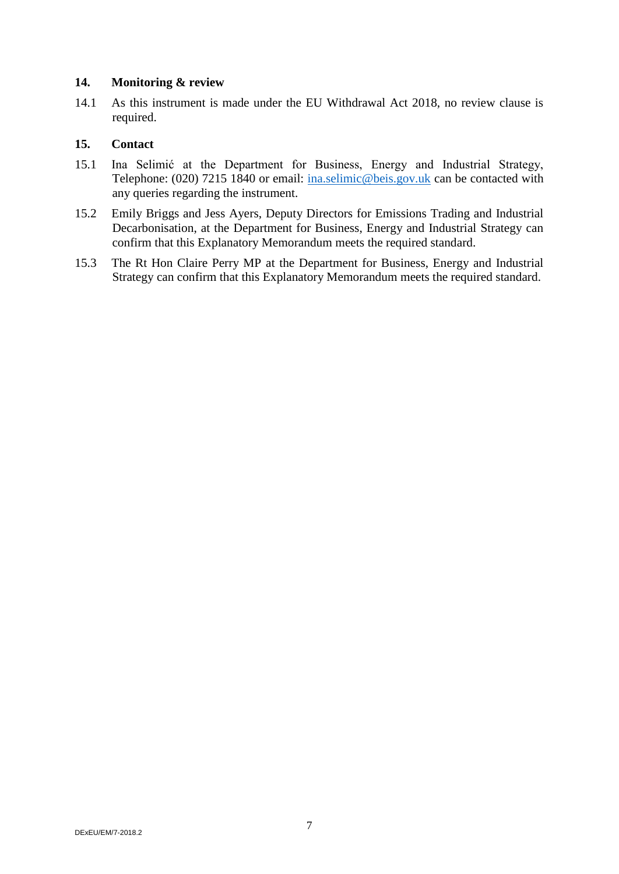#### **14. Monitoring & review**

14.1 As this instrument is made under the EU Withdrawal Act 2018, no review clause is required.

### **15. Contact**

- 15.1 Ina Selimić at the Department for Business, Energy and Industrial Strategy, Telephone: (020) 7215 1840 or email: [ina.selimic@beis.gov.uk](mailto:ina.selimic@beis.gov.uk) can be contacted with any queries regarding the instrument.
- 15.2 Emily Briggs and Jess Ayers, Deputy Directors for Emissions Trading and Industrial Decarbonisation, at the Department for Business, Energy and Industrial Strategy can confirm that this Explanatory Memorandum meets the required standard.
- 15.3 The Rt Hon Claire Perry MP at the Department for Business, Energy and Industrial Strategy can confirm that this Explanatory Memorandum meets the required standard.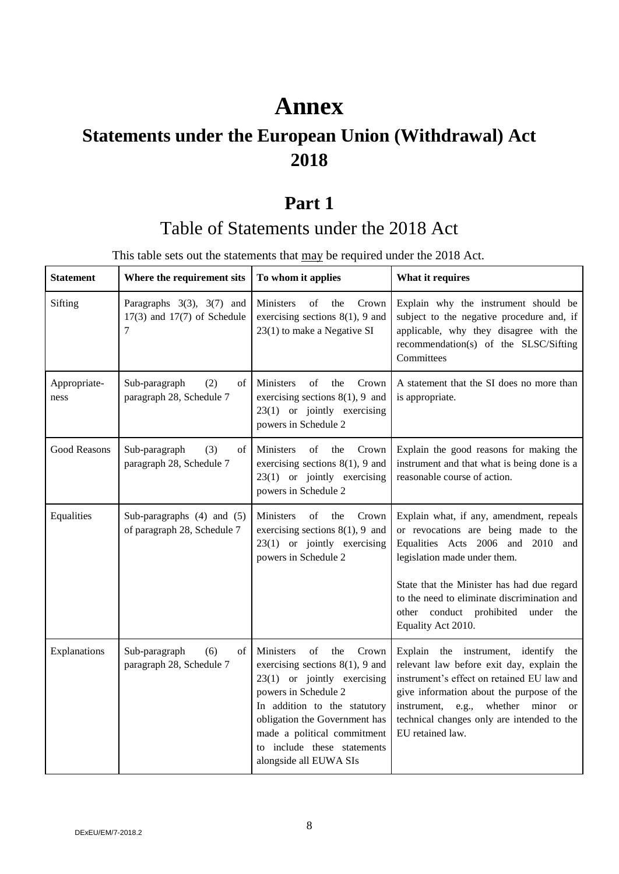# **Annex**

# **Statements under the European Union (Withdrawal) Act 2018**

# **Part 1**

# Table of Statements under the 2018 Act

This table sets out the statements that may be required under the 2018 Act.

| <b>Statement</b>     | Where the requirement sits                                             | To whom it applies                                                                                                                                                                                                                                                                      | What it requires                                                                                                                                                                                                                                                                                                     |
|----------------------|------------------------------------------------------------------------|-----------------------------------------------------------------------------------------------------------------------------------------------------------------------------------------------------------------------------------------------------------------------------------------|----------------------------------------------------------------------------------------------------------------------------------------------------------------------------------------------------------------------------------------------------------------------------------------------------------------------|
| Sifting              | Paragraphs $3(3)$ , $3(7)$ and<br>$17(3)$ and $17(7)$ of Schedule<br>7 | of<br>Ministers<br>the<br>Crown<br>exercising sections $8(1)$ , 9 and<br>23(1) to make a Negative SI                                                                                                                                                                                    | Explain why the instrument should be<br>subject to the negative procedure and, if<br>applicable, why they disagree with the<br>recommendation(s) of the SLSC/Sifting<br>Committees                                                                                                                                   |
| Appropriate-<br>ness | Sub-paragraph<br>(2)<br>of<br>paragraph 28, Schedule 7                 | Ministers<br>of<br>the<br>Crown<br>exercising sections $8(1)$ , 9 and<br>$23(1)$ or jointly exercising<br>powers in Schedule 2                                                                                                                                                          | A statement that the SI does no more than<br>is appropriate.                                                                                                                                                                                                                                                         |
| Good Reasons         | Sub-paragraph<br>(3)<br>of<br>paragraph 28, Schedule 7                 | Crown<br><b>Ministers</b><br>of<br>the<br>exercising sections $8(1)$ , 9 and<br>23(1) or jointly exercising<br>powers in Schedule 2                                                                                                                                                     | Explain the good reasons for making the<br>instrument and that what is being done is a<br>reasonable course of action.                                                                                                                                                                                               |
| Equalities           | Sub-paragraphs (4) and (5)<br>of paragraph 28, Schedule 7              | Ministers<br>of<br>the<br>Crown<br>exercising sections $8(1)$ , 9 and<br>23(1) or jointly exercising<br>powers in Schedule 2                                                                                                                                                            | Explain what, if any, amendment, repeals<br>or revocations are being made to the<br>Equalities Acts 2006 and 2010 and<br>legislation made under them.<br>State that the Minister has had due regard<br>to the need to eliminate discrimination and<br>other conduct prohibited<br>under<br>the<br>Equality Act 2010. |
| Explanations         | Sub-paragraph<br>(6)<br>of<br>paragraph 28, Schedule 7                 | of<br>Crown<br>Ministers<br>the<br>exercising sections $8(1)$ , 9 and<br>$23(1)$ or jointly exercising<br>powers in Schedule 2<br>In addition to the statutory<br>obligation the Government has<br>made a political commitment<br>to include these statements<br>alongside all EUWA SIs | Explain the instrument, identify the<br>relevant law before exit day, explain the<br>instrument's effect on retained EU law and<br>give information about the purpose of the<br>instrument, e.g., whether minor<br><sub>or</sub><br>technical changes only are intended to the<br>EU retained law.                   |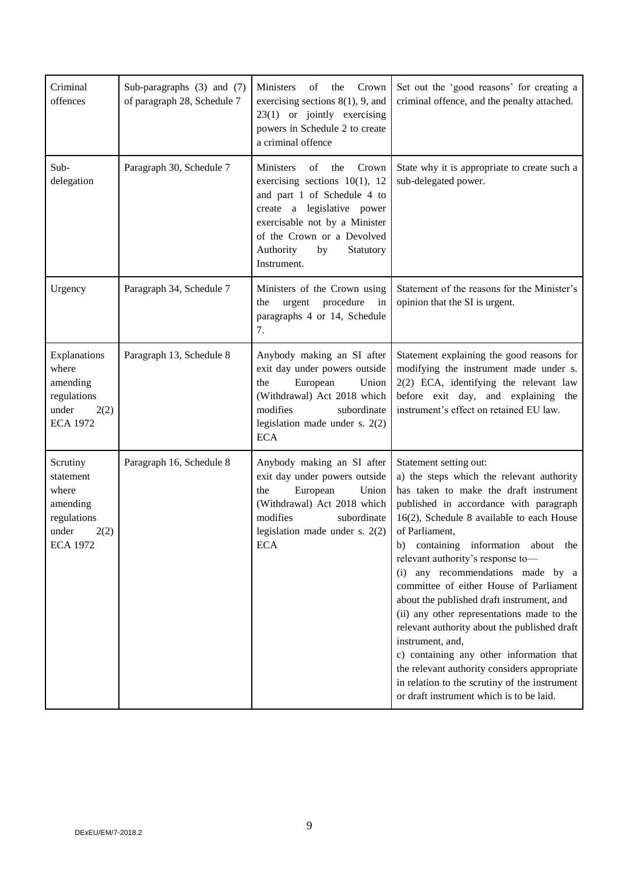| Criminal<br>offences                                                                          | Sub-paragraphs (3) and (7)<br>of paragraph 28, Schedule 7 | Crown<br>Ministers<br>of<br>the<br>exercising sections $8(1)$ , 9, and<br>23(1) or jointly exercising<br>powers in Schedule 2 to create<br>a criminal offence                                                                                  | Set out the 'good reasons' for creating a<br>criminal offence, and the penalty attached.                                                                                                                                                                                                                                                                                                                                                                                                                                                                                                                                                                                                                                                                       |
|-----------------------------------------------------------------------------------------------|-----------------------------------------------------------|------------------------------------------------------------------------------------------------------------------------------------------------------------------------------------------------------------------------------------------------|----------------------------------------------------------------------------------------------------------------------------------------------------------------------------------------------------------------------------------------------------------------------------------------------------------------------------------------------------------------------------------------------------------------------------------------------------------------------------------------------------------------------------------------------------------------------------------------------------------------------------------------------------------------------------------------------------------------------------------------------------------------|
| Sub-<br>delegation                                                                            | Paragraph 30, Schedule 7                                  | of<br>Crown<br>Ministers<br>the<br>exercising sections $10(1)$ , 12<br>and part 1 of Schedule 4 to<br>create a legislative power<br>exercisable not by a Minister<br>of the Crown or a Devolved<br>Authority<br>by<br>Statutory<br>Instrument. | State why it is appropriate to create such a<br>sub-delegated power.                                                                                                                                                                                                                                                                                                                                                                                                                                                                                                                                                                                                                                                                                           |
| Urgency                                                                                       | Paragraph 34, Schedule 7                                  | Ministers of the Crown using<br>procedure<br>urgent<br>in<br>the<br>paragraphs 4 or 14, Schedule<br>7.                                                                                                                                         | Statement of the reasons for the Minister's<br>opinion that the SI is urgent.                                                                                                                                                                                                                                                                                                                                                                                                                                                                                                                                                                                                                                                                                  |
| Explanations<br>where<br>amending<br>regulations<br>under<br>2(2)<br><b>ECA 1972</b>          | Paragraph 13, Schedule 8                                  | Anybody making an SI after<br>exit day under powers outside<br>European<br>Union<br>the<br>(Withdrawal) Act 2018 which<br>modifies<br>subordinate<br>legislation made under s. $2(2)$<br><b>ECA</b>                                            | Statement explaining the good reasons for<br>modifying the instrument made under s.<br>2(2) ECA, identifying the relevant law<br>before exit day, and explaining the<br>instrument's effect on retained EU law.                                                                                                                                                                                                                                                                                                                                                                                                                                                                                                                                                |
| Scrutiny<br>statement<br>where<br>amending<br>regulations<br>under<br>2(2)<br><b>ECA 1972</b> | Paragraph 16, Schedule 8                                  | Anybody making an SI after<br>exit day under powers outside<br>European<br>Union<br>the<br>(Withdrawal) Act 2018 which<br>modifies<br>subordinate<br>legislation made under s. $2(2)$<br><b>ECA</b>                                            | Statement setting out:<br>a) the steps which the relevant authority<br>has taken to make the draft instrument<br>published in accordance with paragraph<br>16(2), Schedule 8 available to each House<br>of Parliament,<br>containing information about the<br>b)<br>relevant authority's response to-<br>any recommendations made by a<br>$\left( 1\right)$<br>committee of either House of Parliament<br>about the published draft instrument, and<br>(ii) any other representations made to the<br>relevant authority about the published draft<br>instrument, and,<br>c) containing any other information that<br>the relevant authority considers appropriate<br>in relation to the scrutiny of the instrument<br>or draft instrument which is to be laid. |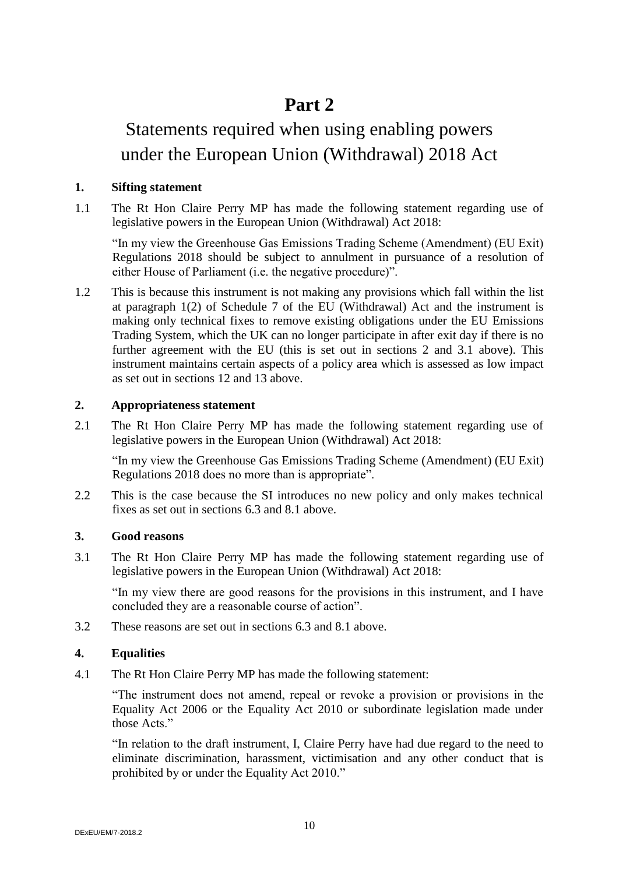# **Part 2**

# Statements required when using enabling powers under the European Union (Withdrawal) 2018 Act

#### **1. Sifting statement**

1.1 The Rt Hon Claire Perry MP has made the following statement regarding use of legislative powers in the European Union (Withdrawal) Act 2018:

"In my view the Greenhouse Gas Emissions Trading Scheme (Amendment) (EU Exit) Regulations 2018 should be subject to annulment in pursuance of a resolution of either House of Parliament (i.e. the negative procedure)".

1.2 This is because this instrument is not making any provisions which fall within the list at paragraph 1(2) of Schedule 7 of the EU (Withdrawal) Act and the instrument is making only technical fixes to remove existing obligations under the EU Emissions Trading System, which the UK can no longer participate in after exit day if there is no further agreement with the EU (this is set out in sections 2 and 3.1 above). This instrument maintains certain aspects of a policy area which is assessed as low impact as set out in sections 12 and 13 above.

### **2. Appropriateness statement**

2.1 The Rt Hon Claire Perry MP has made the following statement regarding use of legislative powers in the European Union (Withdrawal) Act 2018:

"In my view the Greenhouse Gas Emissions Trading Scheme (Amendment) (EU Exit) Regulations 2018 does no more than is appropriate".

2.2 This is the case because the SI introduces no new policy and only makes technical fixes as set out in sections 6.3 and 8.1 above.

#### **3. Good reasons**

3.1 The Rt Hon Claire Perry MP has made the following statement regarding use of legislative powers in the European Union (Withdrawal) Act 2018:

"In my view there are good reasons for the provisions in this instrument, and I have concluded they are a reasonable course of action".

3.2 These reasons are set out in sections 6.3 and 8.1 above.

#### **4. Equalities**

4.1 The Rt Hon Claire Perry MP has made the following statement:

"The instrument does not amend, repeal or revoke a provision or provisions in the Equality Act 2006 or the Equality Act 2010 or subordinate legislation made under those Acts<sup>"</sup>

"In relation to the draft instrument, I, Claire Perry have had due regard to the need to eliminate discrimination, harassment, victimisation and any other conduct that is prohibited by or under the Equality Act 2010."